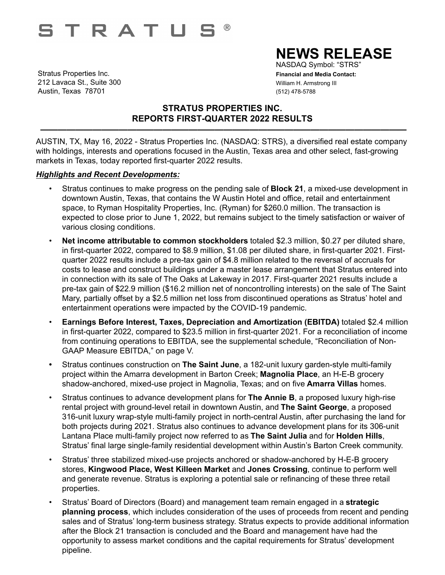# **STRATUE**  $\circledR$

Stratus Properties Inc. **Financial and Media Contact:** 212 Lavaca St., Suite 300 William H. Armstrong III Austin, Texas 78701 (512) 478-5788

# **NEWS RELEASE**

NASDAQ Symbol: "STRS"

## **STRATUS PROPERTIES INC. REPORTS FIRST-QUARTER 2022 RESULTS**

AUSTIN, TX, May 16, 2022 - Stratus Properties Inc. (NASDAQ: STRS), a diversified real estate company with holdings, interests and operations focused in the Austin, Texas area and other select, fast-growing markets in Texas, today reported first-quarter 2022 results.

 **——————————————————————————————————————————**

### *Highlights and Recent Developments:*

- Stratus continues to make progress on the pending sale of **Block 21**, a mixed-use development in downtown Austin, Texas, that contains the W Austin Hotel and office, retail and entertainment space, to Ryman Hospitality Properties, Inc. (Ryman) for \$260.0 million. The transaction is expected to close prior to June 1, 2022, but remains subject to the timely satisfaction or waiver of various closing conditions.
- **Net income attributable to common stockholders** totaled \$2.3 million, \$0.27 per diluted share, in first-quarter 2022, compared to \$8.9 million, \$1.08 per diluted share, in first-quarter 2021. Firstquarter 2022 results include a pre-tax gain of \$4.8 million related to the reversal of accruals for costs to lease and construct buildings under a master lease arrangement that Stratus entered into in connection with its sale of The Oaks at Lakeway in 2017. First-quarter 2021 results include a pre-tax gain of \$22.9 million (\$16.2 million net of noncontrolling interests) on the sale of The Saint Mary, partially offset by a \$2.5 million net loss from discontinued operations as Stratus' hotel and entertainment operations were impacted by the COVID-19 pandemic.
- *•* **Earnings Before Interest, Taxes, Depreciation and Amortization (EBITDA)** totaled \$2.4 million in first-quarter 2022, compared to \$23.5 million in first-quarter 2021. For a reconciliation of income from continuing operations to EBITDA, see the supplemental schedule, "Reconciliation of Non-GAAP Measure EBITDA," on page V.
- **•** Stratus continues construction on **The Saint June**, a 182-unit luxury garden-style multi-family project within the Amarra development in Barton Creek; **Magnolia Place**, an H-E-B grocery shadow-anchored, mixed-use project in Magnolia, Texas; and on five **Amarra Villas** homes.
- Stratus continues to advance development plans for **The Annie B**, a proposed luxury high-rise rental project with ground-level retail in downtown Austin, and **The Saint George**, a proposed 316-unit luxury wrap-style multi-family project in north-central Austin, after purchasing the land for both projects during 2021. Stratus also continues to advance development plans for its 306-unit Lantana Place multi-family project now referred to as **The Saint Julia** and for **Holden Hills**, Stratus' final large single-family residential development within Austin's Barton Creek community.
- Stratus' three stabilized mixed-use projects anchored or shadow-anchored by H-E-B grocery stores, **Kingwood Place, West Killeen Market** and **Jones Crossing**, continue to perform well and generate revenue. Stratus is exploring a potential sale or refinancing of these three retail properties.
- Stratus' Board of Directors (Board) and management team remain engaged in a **strategic planning process**, which includes consideration of the uses of proceeds from recent and pending sales and of Stratus' long-term business strategy. Stratus expects to provide additional information after the Block 21 transaction is concluded and the Board and management have had the opportunity to assess market conditions and the capital requirements for Stratus' development pipeline.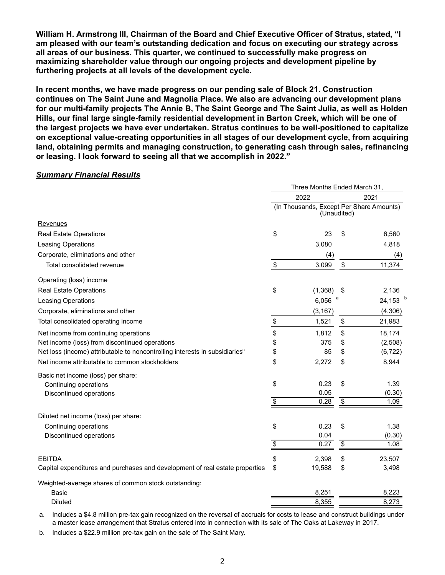**William H. Armstrong III, Chairman of the Board and Chief Executive Officer of Stratus, stated, "I am pleased with our team's outstanding dedication and focus on executing our strategy across all areas of our business. This quarter, we continued to successfully make progress on maximizing shareholder value through our ongoing projects and development pipeline by furthering projects at all levels of the development cycle.** 

**In recent months, we have made progress on our pending sale of Block 21. Construction continues on The Saint June and Magnolia Place. We also are advancing our development plans for our multi-family projects The Annie B, The Saint George and The Saint Julia, as well as Holden Hills, our final large single-family residential development in Barton Creek, which will be one of the largest projects we have ever undertaken. Stratus continues to be well-positioned to capitalize on exceptional value-creating opportunities in all stages of our development cycle, from acquiring land, obtaining permits and managing construction, to generating cash through sales, refinancing or leasing. I look forward to seeing all that we accomplish in 2022."**

#### *Summary Financial Results*

|                                                                                         | Three Months Ended March 31, |                                                         |                 |          |  |
|-----------------------------------------------------------------------------------------|------------------------------|---------------------------------------------------------|-----------------|----------|--|
|                                                                                         | 2022                         |                                                         |                 | 2021     |  |
|                                                                                         |                              | (In Thousands, Except Per Share Amounts)<br>(Unaudited) |                 |          |  |
| Revenues                                                                                |                              |                                                         |                 |          |  |
| <b>Real Estate Operations</b>                                                           | \$                           | 23                                                      | \$              | 6,560    |  |
| Leasing Operations                                                                      |                              | 3,080                                                   |                 | 4,818    |  |
| Corporate, eliminations and other                                                       |                              | (4)                                                     |                 | (4)      |  |
| Total consolidated revenue                                                              | \$                           | 3,099                                                   | \$              | 11,374   |  |
| Operating (loss) income                                                                 |                              |                                                         |                 |          |  |
| <b>Real Estate Operations</b>                                                           | \$                           | (1, 368)                                                | \$              | 2,136    |  |
| Leasing Operations                                                                      |                              | а<br>6,056                                              |                 | 24,153   |  |
| Corporate, eliminations and other                                                       |                              | (3, 167)                                                |                 | (4,306)  |  |
| Total consolidated operating income                                                     | $\frac{1}{2}$                | 1,521                                                   | \$              | 21,983   |  |
| Net income from continuing operations                                                   | \$                           | 1,812                                                   | \$              | 18,174   |  |
| Net income (loss) from discontinued operations                                          | \$                           | 375                                                     | \$              | (2,508)  |  |
| Net loss (income) attributable to noncontrolling interests in subsidiaries <sup>c</sup> | \$                           | 85                                                      | \$              | (6, 722) |  |
| Net income attributable to common stockholders                                          | \$                           | 2,272                                                   | \$              | 8,944    |  |
| Basic net income (loss) per share:                                                      |                              |                                                         |                 |          |  |
| Continuing operations                                                                   | \$                           | 0.23                                                    | \$              | 1.39     |  |
| Discontinued operations                                                                 |                              | 0.05                                                    |                 | (0.30)   |  |
|                                                                                         | $\overline{\$}$              | 0.28                                                    | $\overline{\$}$ | 1.09     |  |
| Diluted net income (loss) per share:                                                    |                              |                                                         |                 |          |  |
| Continuing operations                                                                   | \$                           | 0.23                                                    | \$              | 1.38     |  |
| Discontinued operations                                                                 |                              | 0.04                                                    |                 | (0.30)   |  |
|                                                                                         | $\overline{\$}$              | 0.27                                                    | $\overline{\$}$ | 1.08     |  |
| <b>EBITDA</b>                                                                           | \$                           | 2,398                                                   | \$              | 23,507   |  |
| Capital expenditures and purchases and development of real estate properties            | \$                           | 19,588                                                  | \$              | 3,498    |  |
| Weighted-average shares of common stock outstanding:                                    |                              |                                                         |                 |          |  |
| <b>Basic</b>                                                                            |                              | 8,251                                                   |                 | 8,223    |  |
| <b>Diluted</b>                                                                          |                              | 8,355                                                   |                 | 8,273    |  |

a. Includes a \$4.8 million pre-tax gain recognized on the reversal of accruals for costs to lease and construct buildings under a master lease arrangement that Stratus entered into in connection with its sale of The Oaks at Lakeway in 2017.

b. Includes a \$22.9 million pre-tax gain on the sale of The Saint Mary.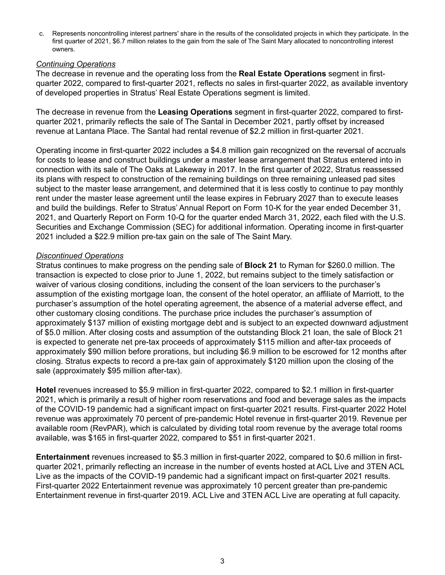c. Represents noncontrolling interest partners' share in the results of the consolidated projects in which they participate. In the first quarter of 2021, \$6.7 million relates to the gain from the sale of The Saint Mary allocated to noncontrolling interest owners.

#### *Continuing Operations*

The decrease in revenue and the operating loss from the **Real Estate Operations** segment in firstquarter 2022, compared to first-quarter 2021, reflects no sales in first-quarter 2022, as available inventory of developed properties in Stratus' Real Estate Operations segment is limited.

The decrease in revenue from the **Leasing Operations** segment in first-quarter 2022, compared to firstquarter 2021, primarily reflects the sale of The Santal in December 2021, partly offset by increased revenue at Lantana Place. The Santal had rental revenue of \$2.2 million in first-quarter 2021.

Operating income in first-quarter 2022 includes a \$4.8 million gain recognized on the reversal of accruals for costs to lease and construct buildings under a master lease arrangement that Stratus entered into in connection with its sale of The Oaks at Lakeway in 2017. In the first quarter of 2022, Stratus reassessed its plans with respect to construction of the remaining buildings on three remaining unleased pad sites subject to the master lease arrangement, and determined that it is less costly to continue to pay monthly rent under the master lease agreement until the lease expires in February 2027 than to execute leases and build the buildings. Refer to Stratus' Annual Report on Form 10-K for the year ended December 31, 2021, and Quarterly Report on Form 10-Q for the quarter ended March 31, 2022, each filed with the U.S. Securities and Exchange Commission (SEC) for additional information. Operating income in first-quarter 2021 included a \$22.9 million pre-tax gain on the sale of The Saint Mary.

### *Discontinued Operations*

Stratus continues to make progress on the pending sale of **Block 21** to Ryman for \$260.0 million. The transaction is expected to close prior to June 1, 2022, but remains subject to the timely satisfaction or waiver of various closing conditions, including the consent of the loan servicers to the purchaser's assumption of the existing mortgage loan, the consent of the hotel operator, an affiliate of Marriott, to the purchaser's assumption of the hotel operating agreement, the absence of a material adverse effect, and other customary closing conditions. The purchase price includes the purchaser's assumption of approximately \$137 million of existing mortgage debt and is subject to an expected downward adjustment of \$5.0 million. After closing costs and assumption of the outstanding Block 21 loan, the sale of Block 21 is expected to generate net pre-tax proceeds of approximately \$115 million and after-tax proceeds of approximately \$90 million before prorations, but including \$6.9 million to be escrowed for 12 months after closing. Stratus expects to record a pre-tax gain of approximately \$120 million upon the closing of the sale (approximately \$95 million after-tax).

**Hotel** revenues increased to \$5.9 million in first-quarter 2022, compared to \$2.1 million in first-quarter 2021, which is primarily a result of higher room reservations and food and beverage sales as the impacts of the COVID-19 pandemic had a significant impact on first-quarter 2021 results. First-quarter 2022 Hotel revenue was approximately 70 percent of pre-pandemic Hotel revenue in first-quarter 2019. Revenue per available room (RevPAR), which is calculated by dividing total room revenue by the average total rooms available, was \$165 in first-quarter 2022, compared to \$51 in first-quarter 2021.

**Entertainment** revenues increased to \$5.3 million in first-quarter 2022, compared to \$0.6 million in firstquarter 2021, primarily reflecting an increase in the number of events hosted at ACL Live and 3TEN ACL Live as the impacts of the COVID-19 pandemic had a significant impact on first-quarter 2021 results. First-quarter 2022 Entertainment revenue was approximately 10 percent greater than pre-pandemic Entertainment revenue in first-quarter 2019. ACL Live and 3TEN ACL Live are operating at full capacity.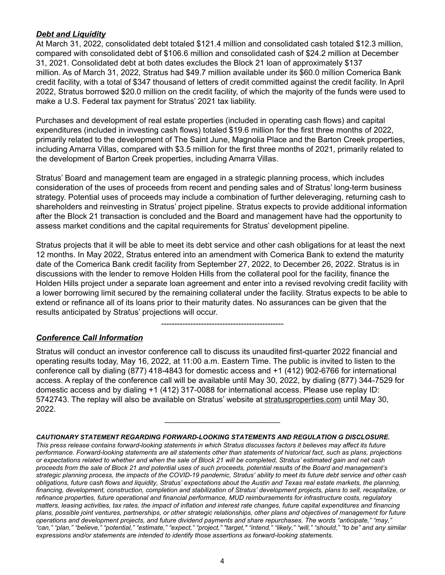## *Debt and Liquidity*

At March 31, 2022, consolidated debt totaled \$121.4 million and consolidated cash totaled \$12.3 million, compared with consolidated debt of \$106.6 million and consolidated cash of \$24.2 million at December 31, 2021. Consolidated debt at both dates excludes the Block 21 loan of approximately \$137 million. As of March 31, 2022, Stratus had \$49.7 million available under its \$60.0 million Comerica Bank credit facility, with a total of \$347 thousand of letters of credit committed against the credit facility. In April 2022, Stratus borrowed \$20.0 million on the credit facility, of which the majority of the funds were used to make a U.S. Federal tax payment for Stratus' 2021 tax liability.

Purchases and development of real estate properties (included in operating cash flows) and capital expenditures (included in investing cash flows) totaled \$19.6 million for the first three months of 2022, primarily related to the development of The Saint June, Magnolia Place and the Barton Creek properties, including Amarra Villas, compared with \$3.5 million for the first three months of 2021, primarily related to the development of Barton Creek properties, including Amarra Villas.

Stratus' Board and management team are engaged in a strategic planning process, which includes consideration of the uses of proceeds from recent and pending sales and of Stratus' long-term business strategy. Potential uses of proceeds may include a combination of further deleveraging, returning cash to shareholders and reinvesting in Stratus' project pipeline. Stratus expects to provide additional information after the Block 21 transaction is concluded and the Board and management have had the opportunity to assess market conditions and the capital requirements for Stratus' development pipeline.

Stratus projects that it will be able to meet its debt service and other cash obligations for at least the next 12 months. In May 2022, Stratus entered into an amendment with Comerica Bank to extend the maturity date of the Comerica Bank credit facility from September 27, 2022, to December 26, 2022. Stratus is in discussions with the lender to remove Holden Hills from the collateral pool for the facility, finance the Holden Hills project under a separate loan agreement and enter into a revised revolving credit facility with a lower borrowing limit secured by the remaining collateral under the facility. Stratus expects to be able to extend or refinance all of its loans prior to their maturity dates. No assurances can be given that the results anticipated by Stratus' projections will occur.

## ---------------------------------------------- *Conference Call Information*

Stratus will conduct an investor conference call to discuss its unaudited first-quarter 2022 financial and operating results today, May 16, 2022, at 11:00 a.m. Eastern Time. The public is invited to listen to the conference call by dialing (877) 418-4843 for domestic access and +1 (412) 902-6766 for international access. A replay of the conference call will be available until May 30, 2022, by dialing (877) 344-7529 for domestic access and by dialing +1 (412) 317-0088 for international access. Please use replay ID: 5742743. The replay will also be available on Stratus' website at stratusproperties.com until May 30, 2022.

 $\mathcal{L}_\text{max}$  , where  $\mathcal{L}_\text{max}$  is the set of  $\mathcal{L}_\text{max}$ 

#### *CAUTIONARY STATEMENT REGARDING FORWARD-LOOKING STATEMENTS AND REGULATION G DISCLOSURE.*

*This press release contains forward-looking statements in which Stratus discusses factors it believes may affect its future performance. Forward-looking statements are all statements other than statements of historical fact, such as plans, projections or expectations related to whether and when the sale of Block 21 will be completed, Stratus' estimated gain and net cash proceeds from the sale of Block 21 and potential uses of such proceeds, potential results of the Board and management's strategic planning process, the impacts of the COVID-19 pandemic, Stratus' ability to meet its future debt service and other cash obligations, future cash flows and liquidity, Stratus' expectations about the Austin and Texas real estate markets, the planning, financing, development, construction, completion and stabilization of Stratus' development projects, plans to sell, recapitalize, or refinance properties, future operational and financial performance, MUD reimbursements for infrastructure costs, regulatory matters, leasing activities, tax rates, the impact of inflation and interest rate changes, future capital expenditures and financing plans, possible joint ventures, partnerships, or other strategic relationships, other plans and objectives of management for future operations and development projects, and future dividend payments and share repurchases. The words "anticipate," "may," "can," "plan," "believe," "potential," "estimate," "expect," "project," "target," "intend," "likely," "will," "should," "to be" and any similar expressions and/or statements are intended to identify those assertions as forward-looking statements.*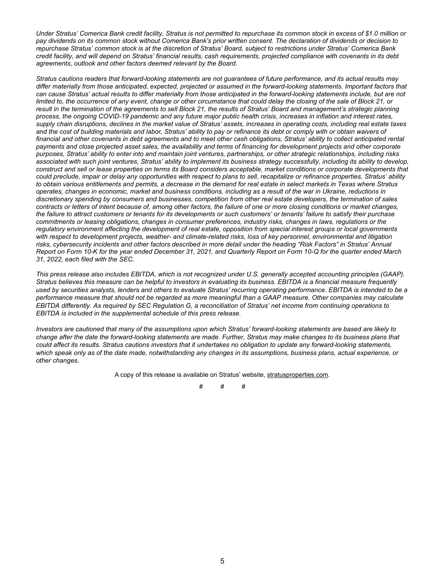*Under Stratus' Comerica Bank credit facility, Stratus is not permitted to repurchase its common stock in excess of \$1.0 million or pay dividends on its common stock without Comerica Bank's prior written consent. The declaration of dividends or decision to repurchase Stratus' common stock is at the discretion of Stratus' Board, subject to restrictions under Stratus' Comerica Bank credit facility, and will depend on Stratus' financial results, cash requirements, projected compliance with covenants in its debt agreements, outlook and other factors deemed relevant by the Board.*

*Stratus cautions readers that forward-looking statements are not guarantees of future performance, and its actual results may differ materially from those anticipated, expected, projected or assumed in the forward-looking statements. Important factors that can cause Stratus' actual results to differ materially from those anticipated in the forward-looking statements include, but are not limited to, the occurrence of any event, change or other circumstance that could delay the closing of the sale of Block 21, or result in the termination of the agreements to sell Block 21, the results of Stratus' Board and management's strategic planning process, the ongoing COVID-19 pandemic and any future major public health crisis, increases in inflation and interest rates, supply chain disruptions, declines in the market value of Stratus' assets, increases in operating costs, including real estate taxes and the cost of building materials and labor, Stratus' ability to pay or refinance its debt or comply with or obtain waivers of financial and other covenants in debt agreements and to meet other cash obligations, Stratus' ability to collect anticipated rental payments and close projected asset sales, the availability and terms of financing for development projects and other corporate purposes, Stratus' ability to enter into and maintain joint ventures, partnerships, or other strategic relationships, including risks associated with such joint ventures, Stratus' ability to implement its business strategy successfully, including its ability to develop, construct and sell or lease properties on terms its Board considers acceptable, market conditions or corporate developments that could preclude, impair or delay any opportunities with respect to plans to sell, recapitalize or refinance properties, Stratus' ability to obtain various entitlements and permits, a decrease in the demand for real estate in select markets in Texas where Stratus operates, changes in economic, market and business conditions, including as a result of the war in Ukraine, reductions in discretionary spending by consumers and businesses, competition from other real estate developers, the termination of sales contracts or letters of intent because of, among other factors, the failure of one or more closing conditions or market changes, the failure to attract customers or tenants for its developments or such customers' or tenants' failure to satisfy their purchase commitments or leasing obligations, changes in consumer preferences, industry risks, changes in laws, regulations or the regulatory environment affecting the development of real estate, opposition from special interest groups or local governments with respect to development projects, weather- and climate-related risks, loss of key personnel, environmental and litigation risks, cybersecurity incidents and other factors described in more detail under the heading "Risk Factors" in Stratus' Annual Report on Form 10-K for the year ended December 31, 2021, and Quarterly Report on Form 10-Q for the quarter ended March 31, 2022, each filed with the SEC.*

*This press release also includes EBITDA, which is not recognized under U.S. generally accepted accounting principles (GAAP). Stratus believes this measure can be helpful to investors in evaluating its business. EBITDA is a financial measure frequently used by securities analysts, lenders and others to evaluate Stratus' recurring operating performance. EBITDA is intended to be a performance measure that should not be regarded as more meaningful than a GAAP measure. Other companies may calculate EBITDA differently. As required by SEC Regulation G, a reconciliation of Stratus' net income from continuing operations to EBITDA is included in the supplemental schedule of this press release.*

*Investors are cautioned that many of the assumptions upon which Stratus' forward-looking statements are based are likely to change after the date the forward-looking statements are made. Further, Stratus may make changes to its business plans that could affect its results. Stratus cautions investors that it undertakes no obligation to update any forward-looking statements, which speak only as of the date made, notwithstanding any changes in its assumptions, business plans, actual experience, or other changes.*

A copy of this release is available on Stratus' website, stratusproperties.com.

# # #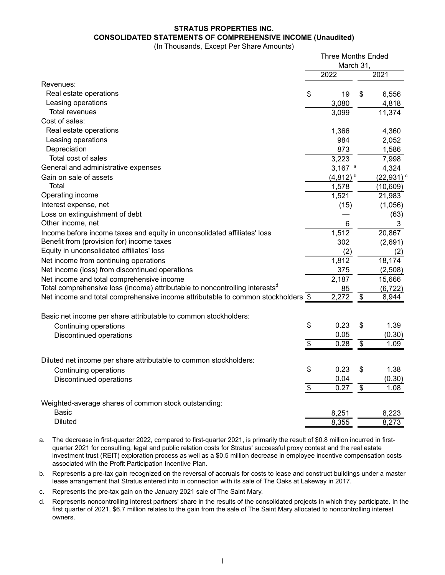## **STRATUS PROPERTIES INC. CONSOLIDATED STATEMENTS OF COMPREHENSIVE INCOME (Unaudited)**

(In Thousands, Except Per Share Amounts)

|                                                                                          | <b>Three Months Ended</b><br>March 31, |               |                 |                         |
|------------------------------------------------------------------------------------------|----------------------------------------|---------------|-----------------|-------------------------|
|                                                                                          |                                        |               |                 |                         |
|                                                                                          |                                        | 2022          |                 | 2021                    |
| Revenues:                                                                                |                                        |               |                 |                         |
| Real estate operations                                                                   | \$                                     | 19            | $\mathbb{S}$    | 6,556                   |
| Leasing operations                                                                       |                                        | 3,080         |                 | 4,818                   |
| <b>Total revenues</b>                                                                    |                                        | 3,099         |                 | 11,374                  |
| Cost of sales:                                                                           |                                        |               |                 |                         |
| Real estate operations                                                                   |                                        | 1,366         |                 | 4,360                   |
| Leasing operations                                                                       |                                        | 984           |                 | 2,052                   |
| Depreciation                                                                             |                                        | 873           |                 | 1,586                   |
| Total cost of sales                                                                      |                                        | 3,223         |                 | 7,998                   |
| General and administrative expenses                                                      |                                        | 3,167 $a$     |                 | 4,324                   |
| Gain on sale of assets                                                                   |                                        | $(4,812)^{b}$ |                 | $(22,931)$ <sup>c</sup> |
| Total                                                                                    |                                        | 1,578         |                 | (10, 609)               |
| Operating income                                                                         |                                        | 1,521         |                 | 21,983                  |
| Interest expense, net                                                                    |                                        | (15)          |                 | (1,056)                 |
| Loss on extinguishment of debt                                                           |                                        |               |                 | (63)                    |
| Other income, net                                                                        |                                        | 6             |                 | 3                       |
| Income before income taxes and equity in unconsolidated affiliates' loss                 |                                        | 1,512         |                 | 20,867                  |
| Benefit from (provision for) income taxes                                                |                                        | 302           |                 | (2,691)                 |
| Equity in unconsolidated affiliates' loss                                                |                                        | (2)           |                 | (2)                     |
| Net income from continuing operations                                                    |                                        | 1,812         |                 | 18,174                  |
| Net income (loss) from discontinued operations                                           |                                        | 375           |                 | (2,508)                 |
| Net income and total comprehensive income                                                |                                        | 2,187         |                 | 15,666                  |
| Total comprehensive loss (income) attributable to noncontrolling interests <sup>d</sup>  |                                        | 85            |                 | (6, 722)                |
| Net income and total comprehensive income attributable to common stockholders $\sqrt{$}$ |                                        | 2,272         | $\overline{\$}$ | 8,944                   |
| Basic net income per share attributable to common stockholders:                          |                                        |               |                 |                         |
| Continuing operations                                                                    | \$                                     | 0.23          | \$              | 1.39                    |
| Discontinued operations                                                                  |                                        | 0.05          |                 | (0.30)                  |
|                                                                                          | $\overline{\$}$                        | 0.28          | $\overline{\$}$ | 1.09                    |
|                                                                                          |                                        |               |                 |                         |
| Diluted net income per share attributable to common stockholders:                        |                                        |               |                 |                         |
| Continuing operations                                                                    | \$                                     | 0.23          | \$              | 1.38                    |
| Discontinued operations                                                                  |                                        | 0.04          |                 | (0.30)                  |
|                                                                                          | $\overline{\$}$                        | 0.27          | $\overline{\$}$ | 1.08                    |
| Weighted-average shares of common stock outstanding:                                     |                                        |               |                 |                         |
| <b>Basic</b>                                                                             |                                        | 8,251         |                 | 8,223                   |
| <b>Diluted</b>                                                                           |                                        | 8,355         |                 | 8,273                   |
|                                                                                          |                                        |               |                 |                         |

a. The decrease in first-quarter 2022, compared to first-quarter 2021, is primarily the result of \$0.8 million incurred in firstquarter 2021 for consulting, legal and public relation costs for Stratus' successful proxy contest and the real estate investment trust (REIT) exploration process as well as a \$0.5 million decrease in employee incentive compensation costs associated with the Profit Participation Incentive Plan.

- b. Represents a pre-tax gain recognized on the reversal of accruals for costs to lease and construct buildings under a master lease arrangement that Stratus entered into in connection with its sale of The Oaks at Lakeway in 2017.
- c. Represents the pre-tax gain on the January 2021 sale of The Saint Mary.
- d. Represents noncontrolling interest partners' share in the results of the consolidated projects in which they participate. In the first quarter of 2021, \$6.7 million relates to the gain from the sale of The Saint Mary allocated to noncontrolling interest owners.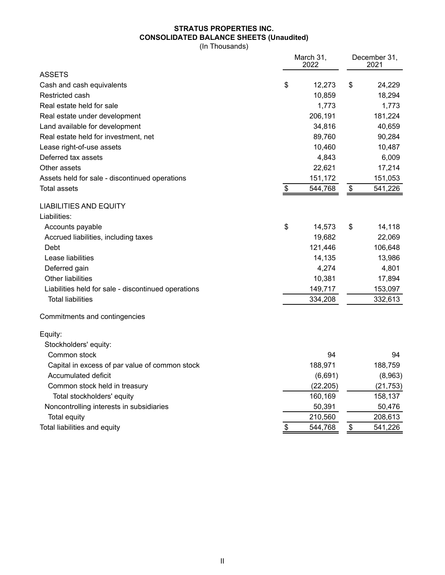# **STRATUS PROPERTIES INC. CONSOLIDATED BALANCE SHEETS (Unaudited)**

(In Thousands)

|                                                     |                | March 31,<br>2022 |                   |           |
|-----------------------------------------------------|----------------|-------------------|-------------------|-----------|
| ASSETS                                              |                |                   |                   |           |
| Cash and cash equivalents                           | \$             | 12,273            | \$                | 24,229    |
| Restricted cash                                     |                | 10,859            |                   | 18,294    |
| Real estate held for sale                           |                | 1,773             |                   | 1,773     |
| Real estate under development                       |                | 206,191           |                   | 181,224   |
| Land available for development                      |                | 34,816            |                   | 40,659    |
| Real estate held for investment, net                |                | 89,760            |                   | 90,284    |
| Lease right-of-use assets                           |                | 10,460            |                   | 10,487    |
| Deferred tax assets                                 |                | 4,843             |                   | 6,009     |
| Other assets                                        |                | 22,621            |                   | 17,214    |
| Assets held for sale - discontinued operations      |                | 151,172           |                   | 151,053   |
| <b>Total assets</b>                                 | $\mathfrak{S}$ | 544,768           | $\boldsymbol{\$}$ | 541,226   |
| <b>LIABILITIES AND EQUITY</b>                       |                |                   |                   |           |
| Liabilities:                                        |                |                   |                   |           |
| Accounts payable                                    | \$             | 14,573            | \$                | 14,118    |
| Accrued liabilities, including taxes                |                | 19,682            |                   | 22,069    |
| Debt                                                |                | 121,446           |                   | 106,648   |
| Lease liabilities                                   |                | 14,135            |                   | 13,986    |
| Deferred gain                                       |                | 4,274             |                   | 4,801     |
| <b>Other liabilities</b>                            |                | 10,381            |                   | 17,894    |
| Liabilities held for sale - discontinued operations |                | 149,717           |                   | 153,097   |
| <b>Total liabilities</b>                            |                | 334,208           |                   | 332,613   |
| Commitments and contingencies                       |                |                   |                   |           |
| Equity:                                             |                |                   |                   |           |
| Stockholders' equity:                               |                |                   |                   |           |
| Common stock                                        |                | 94                |                   | 94        |
| Capital in excess of par value of common stock      |                | 188,971           |                   | 188,759   |
| Accumulated deficit                                 |                | (6,691)           |                   | (8,963)   |
| Common stock held in treasury                       |                | (22, 205)         |                   | (21, 753) |
| Total stockholders' equity                          |                | 160,169           |                   | 158,137   |
| Noncontrolling interests in subsidiaries            |                | 50,391            |                   | 50,476    |
| <b>Total equity</b>                                 |                | 210,560           |                   | 208,613   |
| Total liabilities and equity                        | \$             | 544,768           | \$                | 541,226   |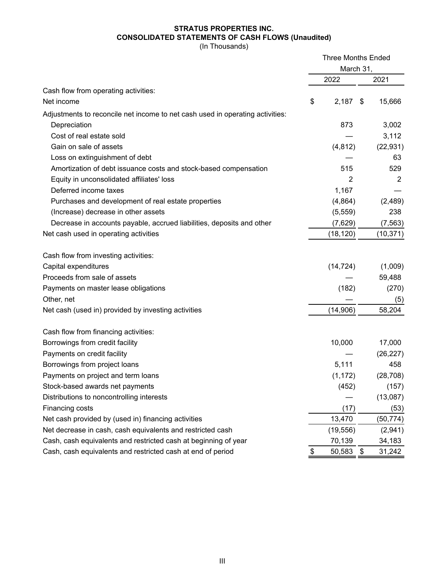## **STRATUS PROPERTIES INC. CONSOLIDATED STATEMENTS OF CASH FLOWS (Unaudited)**

(In Thousands)

|                                                                               | <b>Three Months Ended</b><br>March 31, |            |    |           |
|-------------------------------------------------------------------------------|----------------------------------------|------------|----|-----------|
|                                                                               |                                        |            |    |           |
|                                                                               |                                        | 2022       |    | 2021      |
| Cash flow from operating activities:                                          |                                        |            |    |           |
| Net income                                                                    | \$                                     | $2,187$ \$ |    | 15,666    |
| Adjustments to reconcile net income to net cash used in operating activities: |                                        |            |    |           |
| Depreciation                                                                  |                                        | 873        |    | 3,002     |
| Cost of real estate sold                                                      |                                        |            |    | 3,112     |
| Gain on sale of assets                                                        |                                        | (4, 812)   |    | (22, 931) |
| Loss on extinguishment of debt                                                |                                        |            |    | 63        |
| Amortization of debt issuance costs and stock-based compensation              |                                        | 515        |    | 529       |
| Equity in unconsolidated affiliates' loss                                     |                                        | 2          |    | 2         |
| Deferred income taxes                                                         |                                        | 1,167      |    |           |
| Purchases and development of real estate properties                           |                                        | (4,864)    |    | (2,489)   |
| (Increase) decrease in other assets                                           |                                        | (5,559)    |    | 238       |
| Decrease in accounts payable, accrued liabilities, deposits and other         |                                        | (7,629)    |    | (7, 563)  |
| Net cash used in operating activities                                         |                                        | (18, 120)  |    | (10, 371) |
| Cash flow from investing activities:                                          |                                        |            |    |           |
| Capital expenditures                                                          |                                        | (14, 724)  |    | (1,009)   |
| Proceeds from sale of assets                                                  |                                        |            |    | 59,488    |
| Payments on master lease obligations                                          |                                        | (182)      |    | (270)     |
| Other, net                                                                    |                                        |            |    | (5)       |
| Net cash (used in) provided by investing activities                           |                                        | (14,906)   |    | 58,204    |
| Cash flow from financing activities:                                          |                                        |            |    |           |
| Borrowings from credit facility                                               |                                        | 10,000     |    | 17,000    |
| Payments on credit facility                                                   |                                        |            |    | (26, 227) |
| Borrowings from project loans                                                 |                                        | 5,111      |    | 458       |
| Payments on project and term loans                                            |                                        | (1, 172)   |    | (28, 708) |
| Stock-based awards net payments                                               |                                        | (452)      |    | (157)     |
| Distributions to noncontrolling interests                                     |                                        |            |    | (13,087)  |
| Financing costs                                                               |                                        | (17)       |    | (53)      |
| Net cash provided by (used in) financing activities                           |                                        | 13,470     |    | (50, 774) |
| Net decrease in cash, cash equivalents and restricted cash                    |                                        | (19, 556)  |    | (2,941)   |
| Cash, cash equivalents and restricted cash at beginning of year               |                                        | 70,139     |    | 34,183    |
| Cash, cash equivalents and restricted cash at end of period                   | \$                                     | 50,583     | \$ | 31,242    |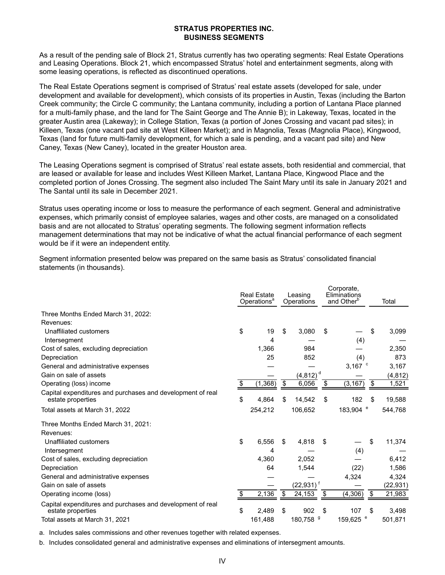#### **STRATUS PROPERTIES INC. BUSINESS SEGMENTS**

As a result of the pending sale of Block 21, Stratus currently has two operating segments: Real Estate Operations and Leasing Operations. Block 21, which encompassed Stratus' hotel and entertainment segments, along with some leasing operations, is reflected as discontinued operations.

The Real Estate Operations segment is comprised of Stratus' real estate assets (developed for sale, under development and available for development), which consists of its properties in Austin, Texas (including the Barton Creek community; the Circle C community; the Lantana community, including a portion of Lantana Place planned for a multi-family phase, and the land for The Saint George and The Annie B); in Lakeway, Texas, located in the greater Austin area (Lakeway); in College Station, Texas (a portion of Jones Crossing and vacant pad sites); in Killeen, Texas (one vacant pad site at West Killeen Market); and in Magnolia, Texas (Magnolia Place), Kingwood, Texas (land for future multi-family development, for which a sale is pending, and a vacant pad site) and New Caney, Texas (New Caney), located in the greater Houston area.

The Leasing Operations segment is comprised of Stratus' real estate assets, both residential and commercial, that are leased or available for lease and includes West Killeen Market, Lantana Place, Kingwood Place and the completed portion of Jones Crossing. The segment also included The Saint Mary until its sale in January 2021 and The Santal until its sale in December 2021.

Stratus uses operating income or loss to measure the performance of each segment. General and administrative expenses, which primarily consist of employee salaries, wages and other costs, are managed on a consolidated basis and are not allocated to Stratus' operating segments. The following segment information reflects management determinations that may not be indicative of what the actual financial performance of each segment would be if it were an independent entity.

Segment information presented below was prepared on the same basis as Stratus' consolidated financial statements (in thousands).

|                                                                                 | <b>Real Estate</b><br>Operations <sup>a</sup> | Leasing<br>Operations   |    | Corporate,<br>Eliminations<br>and Other <sup>b</sup> | Total     |
|---------------------------------------------------------------------------------|-----------------------------------------------|-------------------------|----|------------------------------------------------------|-----------|
| Three Months Ended March 31, 2022:                                              |                                               |                         |    |                                                      |           |
| Revenues:                                                                       |                                               |                         |    |                                                      |           |
| Unaffiliated customers                                                          | \$<br>19                                      | \$<br>3,080             | \$ | \$                                                   | 3,099     |
| Intersegment                                                                    | 4                                             |                         |    | (4)                                                  |           |
| Cost of sales, excluding depreciation                                           | 1,366                                         | 984                     |    |                                                      | 2,350     |
| Depreciation                                                                    | 25                                            | 852                     |    | (4)                                                  | 873       |
| General and administrative expenses                                             |                                               |                         |    | 3,167 $\degree$                                      | 3,167     |
| Gain on sale of assets                                                          |                                               | (4, 812)                |    |                                                      | (4, 812)  |
| Operating (loss) income                                                         | \$<br>(1, 368)                                | \$<br>6,056             | \$ | (3, 167)<br>\$                                       | 1,521     |
| Capital expenditures and purchases and development of real<br>estate properties | \$<br>4,864                                   | \$<br>14,542            | \$ | 182<br>S                                             | 19,588    |
| Total assets at March 31, 2022                                                  | 254,212                                       | 106,652                 |    | 183,904 <sup>e</sup>                                 | 544,768   |
| Three Months Ended March 31, 2021:                                              |                                               |                         |    |                                                      |           |
| Revenues:                                                                       |                                               |                         |    |                                                      |           |
| Unaffiliated customers                                                          | \$<br>6,556                                   | \$<br>4,818             | S  | \$                                                   | 11,374    |
| Intersegment                                                                    | 4                                             |                         |    | (4)                                                  |           |
| Cost of sales, excluding depreciation                                           | 4,360                                         | 2,052                   |    |                                                      | 6,412     |
| Depreciation                                                                    | 64                                            | 1,544                   |    | (22)                                                 | 1,586     |
| General and administrative expenses                                             |                                               |                         |    | 4,324                                                | 4,324     |
| Gain on sale of assets                                                          |                                               | $(22,931)$ <sup>f</sup> |    |                                                      | (22, 931) |
| Operating income (loss)                                                         | \$<br>2,136                                   | \$<br>24,153            | \$ | (4, 306)<br>\$                                       | 21,983    |
| Capital expenditures and purchases and development of real<br>estate properties | \$<br>2,489                                   | \$<br>902               | \$ | 107<br>\$                                            | 3,498     |
| Total assets at March 31, 2021                                                  | 161,488                                       | 180,758 <sup>9</sup>    |    | 159,625 <sup>e</sup>                                 | 501,871   |

a. Includes sales commissions and other revenues together with related expenses.

b. Includes consolidated general and administrative expenses and eliminations of intersegment amounts.